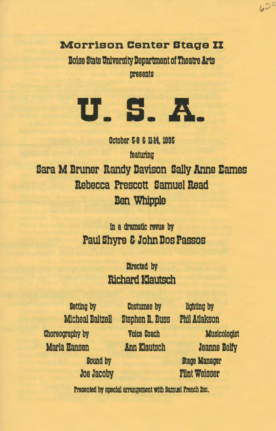Morrison Center Btage II

Boise State University Department of Theatre Arts presents



October 5-8 & 11-14, 1995 featuring Sara M Bruner Randy Davison Sally Anne Eames Rebecca Prescott Samuel Read **Ben Whipple** 

> in a dramatic rewa by Paul Shyre & John Dos Passos

> > Directed by **Richard Klautsch**

Choreography by Marla Hansen

> Bound by Joe Jacoby

Betting by Costumes by lighting by Micheal Baltzell Stephen R. Buss Phil Atlakson Voice Coach Ann Xlautsch

**Musicologist** Jeanne Baity Stage Manager Flint Weisser

 $620$ 

Presented by special arrangement with Samuel French Inc.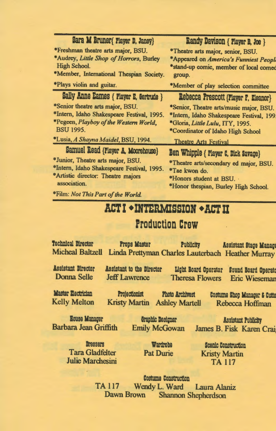| Sara M Bruner{ Player D, Janey}            | Randy Davison { Player B, Joe }           |
|--------------------------------------------|-------------------------------------------|
| *Freshman theatre arts major, BSU.         | *Theatre arts major, senior, BSU.         |
| *Audrey, Little Shop of Horrors, Burley    | *Appeared on America's Funniest People    |
| High School.                               | *stand-up comic, member of local comed    |
| *Member, International Thespian Society.   | group.                                    |
| *Plays violin and guitar.                  | *Member of play selection committee       |
| Sally Anne Eames { Flayer E, Gertrude }    | Rebecca Prescott {Player F, Eleanor}      |
| *Senior theatre arts major, BSU.           | *Senior, Theatre arts/music major, BSU.   |
| *Intern, Idaho Shakespeare Festival, 1995. | *Intern, Idaho Shakespeare Festival, 199. |
| *Pegeen, Playboy of the Western World,     | *Gloria, Little Lulu, ITY, 1995.          |
| <b>BSU 1995.</b>                           | *Coordinator of Idaho High School         |
| *Lusia, A Shayna Maidel, BSU, 1994.        | <b>Theatre Arts Festival</b>              |
| Samuel Read {Player A, Moorehouse}         | Ben Whipple { Player C, Dick Savage}      |
| *Junior, Theatre arts major, BSU.          | *Theatre arts/secondary ed major, BSU.    |
| *Intern, Idaho Shakespeare Festival, 1995. | *Tae kwon do.                             |
| *Artistic director: Theatre majors         | *Honors student at BSU.                   |
| association.                               | *Honor thespian, Burley High School.      |
|                                            |                                           |

\*Film: *Not This Part of the World.* 

# ACT I •lHTERMISSIDR • ACT II

## Production Craw

Technical Director Props Master Publicity Assistant Stage Manage Micheal Baltzell Linda Prettyman Charles Lauterbach Heather Murray Assistant Director Assistant to the Director Light Board Operator Sound Board Operate

Donna Selle

Jeff Lawrence

Master Electrician Projectionist Photo Archivest<br>Kelly Melton Kristy Martin Ashley Martell

Kelly Melton Kristy Martin Ashley Martell Rebecca Hoffinan

Costume Shop Manager & Cutte

Bouse Yanaqar Barbara Jean Griffith

Graphic Designer Emily McGowan

Assistant Publicity James B. Fisk Karen Crai

**Drassars** Tara Gladfelter Julie Marchesini

Wardrobe Pat Durie

Scenic Construction **Kristy Martin** TA 117

Theresa Flowers Eric Wieseman

Costume Construction TA 117 Wendy L. Ward Laura Alaniz Dawn Brown Shannon Shepherdson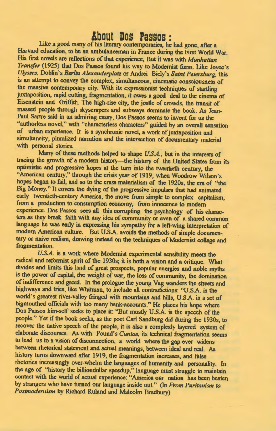#### **About Dos rassos** :

Like a good many of his literary contemporaries, he had gone, after a Harvard education, to be an ambulanceman in France during the First World War. His first novels are reflections of that experience, But it was with *Manhattan Transfer* (1925) that Dos Passos found his way to Modernist form. Like Joyce's *Ulysses,* Doblin's *Berlin Alexanderplatz* or Andrei Biely's *Saint Petersburg,* this is an attempt to convey the complex, simultaneous, cinematic consciousness of the massive contemporary city. With its expressionist techniques of startling juxtaposition, rapid cutting, fragmentation, it owes a good deal to the cinema of Eisenstein and Griffith. The high-rise city, the jostle of crowds, the transit of massed people through skyscrapers and subways dominate the book. As Jean-Paul Sartre said in an admiring essay, Dos Passos seems to invent for us the "authorless novel," with "characterless characters" guided by an overall sensation of urban experience. It is a synchronic novel, a work of juxtaposition and simultaneity, pluralized narration and the intersection of documentary material with personal stories.

Many of these methods helped to shape *U.S.A.,* but in the interests of tracing the growth of a modern history-the history of the United States from its optimistic and progressive hopes at the turn into the twentieth century, the "American century," through the crisis year of 1919, when Woodrow Wilson's hopes began to fail, and so to the crass materialism of the 1920s, the era of ''the Big Money." It covers the dying of the progressive impulses that had animated early twentieth-century America, the move from simple to complex capitalism, from a production to consumption economy, from innocence to modern experience. Dos Passos sees all this corrupting the psychology of his characters as they break faith with any idea of community or even of a shared common language he was early in expressing his sympathy for a left-wing interpretation of modern American culture. But U.SA. avoids the methods of simple documen-. tary or naive realism, drawing instead on the techniques of Modernist collage and fragmentation.

*U.S.A.* is a work where Modernist experimental sensibility meets the radical and reformist spirit of the 1930s; it is both a vision and a critique. What divides and limits this land of great prospects, popular energies and noble myths is the power of capital, the weight of war, the loss of community, the domination of indifference and greed. In the prologue the young Vag wanders the streets and highways and tries, like Whitman, to include all contradictions: "U.SA. is the world's greatest river-valley fringed with mountains and hills, U.S.A. is a set of bigmouthed officials with too many bank-accounts." He places his hope where Dos Passos him-self seeks to place it: "But mostly U.SA. is the speech of the people." Yet if the book seeks, as the poet Carl Sandburg did during the 1930s, to recover the native speech of the people, it is also a complexly layered system of elaborate discourses. As with Pound's *Cantos,* its technical fragmentation seems to lead us to a vision of disconnection, a world where the gap ever widens between rhetorical statement and actual meanings, between ideal and real. As history turns downward after 1919, the fragmentation increases, and false rhetorics increasingly over-whelm the languages of humanity and personality. In the age of "history the billiondollar speedup," language must struggle to maintain contact with the world of actual experience: "America our nation has been beaten by strangers who have turned our language inside out." (In *From Puritanism to Postmodemism* by Richard Ruland and Malcolm Bradbury)